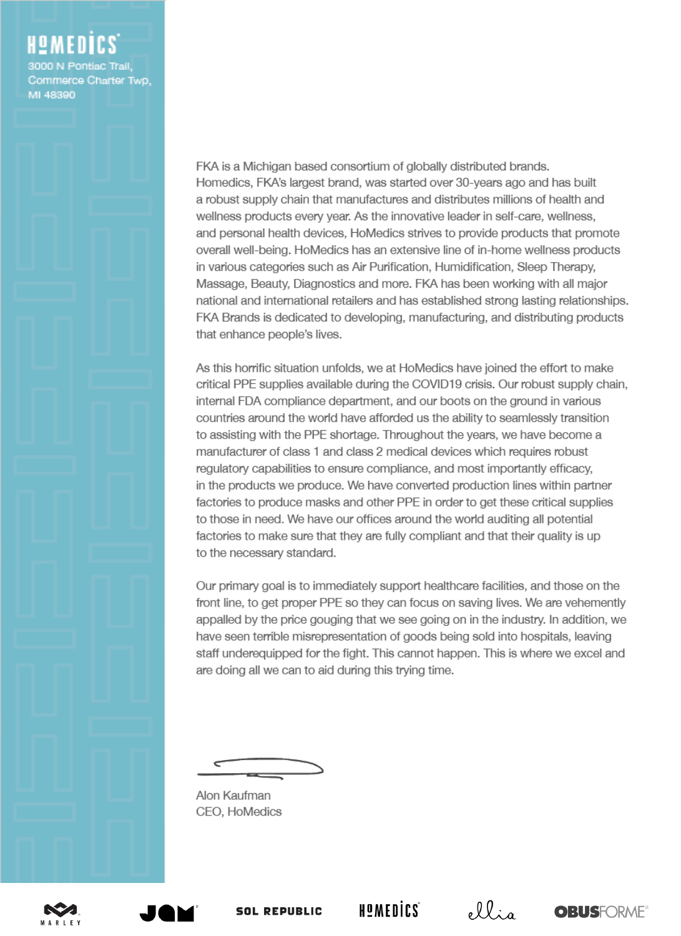3000 N Pontiac Trail. Commerce Charter Twp, MI 48390

> FKA is a Michigan based consortium of globally distributed brands. Homedics, FKA's largest brand, was started over 30-years ago and has built a robust supply chain that manufactures and distributes millions of health and wellness products every year. As the innovative leader in self-care, wellness, and personal health devices, HoMedics strives to provide products that promote overall well-being. HoMedics has an extensive line of in-home wellness products in various categories such as Air Purification, Humidification, Sleep Therapy, Massage, Beauty, Diagnostics and more. FKA has been working with all major national and international retailers and has established strong lasting relationships. FKA Brands is dedicated to developing, manufacturing, and distributing products that enhance people's lives.

> As this horrific situation unfolds, we at HoMedics have joined the effort to make critical PPE supplies available during the COVID19 crisis. Our robust supply chain, internal FDA compliance department, and our boots on the ground in various countries around the world have afforded us the ability to seamlessly transition to assisting with the PPE shortage. Throughout the years, we have become a manufacturer of class 1 and class 2 medical devices which requires robust regulatory capabilities to ensure compliance, and most importantly efficacy, in the products we produce. We have converted production lines within partner factories to produce masks and other PPE in order to get these critical supplies to those in need. We have our offices around the world auditing all potential factories to make sure that they are fully compliant and that their quality is up to the necessary standard.

> Our primary goal is to immediately support healthcare facilities, and those on the front line, to get proper PPE so they can focus on saving lives. We are vehemently appalled by the price gouging that we see going on in the industry. In addition, we have seen terrible misrepresentation of goods being sold into hospitals, leaving staff underequipped for the fight. This cannot happen. This is where we excel and are doing all we can to aid during this trying time.

Alon Kaufman CEO, HoMedics



**SOL REPUBLIC** 

HOMEDICS

ellia

**OBUSFORME®**